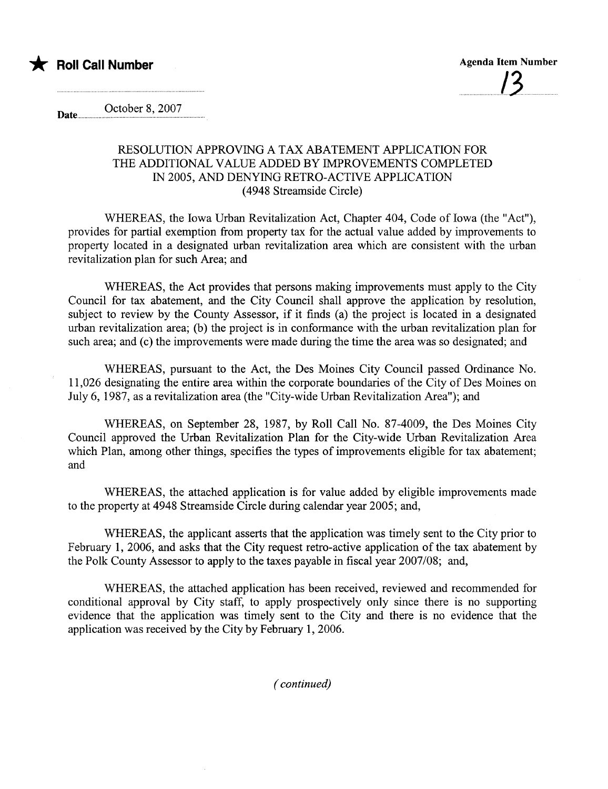

October 8, 2007 Date.....

## RESOLUTION APPROVING A TAX ABATEMENT APPLICATION FOR THE ADDITIONAL VALUE ADDED BY IMROVEMENTS COMPLETED IN 2005, AND DENYING RETRO-ACTIVE APPLICATION (4948 Streamside Circle)

WHEREAS, the Iowa Urban Revitalization Act, Chapter 404, Code of Iowa (the "Act"), provides for partial exemption from property tax for the actual value added by improvements to property located in a designated urban revitalization area which are consistent with the urban revitalization plan for such Area; and

WHEREAS, the Act provides that persons making improvements must apply to the City Council for tax abatement, and the City Council shall approve the application by resolution, subject to review by the County Assessor, if it finds (a) the project is located in a designated urban revitalization area; (b) the project is in conformance with the urban revitalization plan for such area; and (c) the improvements were made during the time the area was so designated; and

WHEREAS, pursuant to the Act, the Des Moines City Council passed Ordinance No. 11,026 designating the entire area within the corporate boundaries of the City of Des Moines on July 6, 1987, as a revitalization area (the "City-wide Urban Revitalization Area"); and

WHEREAS, on September 28, 1987, by Roll Call No. 87-4009, the Des Moines City Council approved the Urban Revitalization Plan for the City-wide Urban Revitalization Area which Plan, among other things, specifies the types of improvements eligible for tax abatement; and

WHEREAS, the attached application is for value added by eligible improvements made to the property at 4948 Streamside Circle during calendar year 2005; and,

WHEREAS, the applicant asserts that the application was timely sent to the City prior to February 1, 2006, and asks that the City request retro-active application of the tax abatement by the Polk County Assessor to apply to the taxes payable in fiscal year 2007/08; and,

WHEREAS, the attached application has been received, reviewed and recommended for conditional approval by City staff, to apply prospectively only since there is no supporting evidence that the application was timely sent to the City and there is no evidence that the application was received by the City by February 1, 2006.

( continued)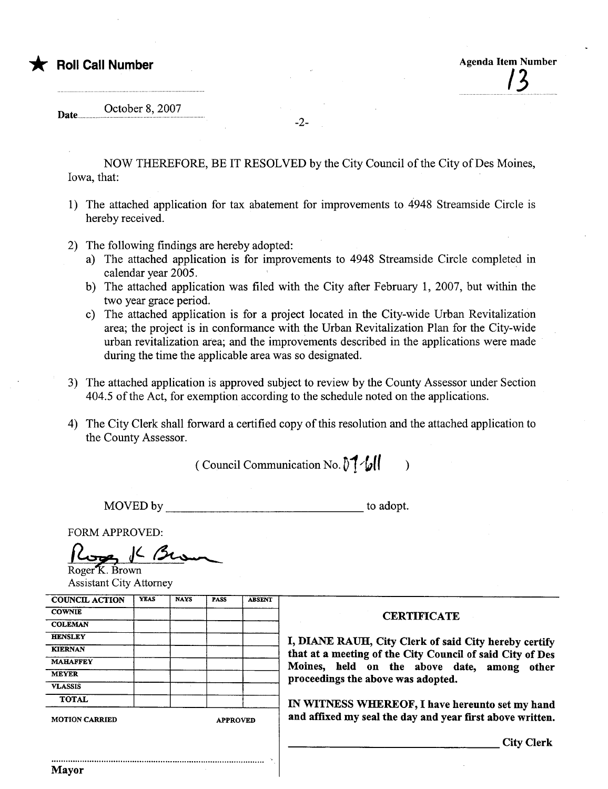| <b>X</b> Roll Call Number |  | <b>Agenda Item Number</b> |
|---------------------------|--|---------------------------|
|                           |  |                           |

Date. October 8, 2007

NOW THEREFORE, BE IT RESOLVED by the City Council of the City of Des Moines, Iowa, that:

-2-

- 1) The attached application for tax abatement for improvements to 4948 Streamside Circle is hereby received.
- 2) The following findings are hereby adopted:
	- a) The attached application is for improvements to 4948 Streamside Circle completed in calendar year 2005.
	- b) The attached application was filed with the City after February 1, 2007, but within the two year grace period.
	- c) The attached application is for a project located in the City-wide Urban Revitalization area; the project is in conformance with the Urban Revitalization Plan for the City-wide urban revitalization area; and the improvements described in the applications were made during the time the applicable area was so designated.
- 3) The attached application is approved subject to review by the County Assessor under Section 404.5 of the Act, for exemption according to the schedule noted on the applications.
- 4) The City Clerk shall forward a certified copy of this resolution and the attached application to the County Assessor.

(Council Communication No.  $\lVert \cdot \cdot \cdot \rVert$  )

MOVED by to adopt.

FORM APPROVED:<br> $\int_{\text{Roger K. Brown}} \int \mathcal{L} \, \mathcal{L}$ Assistant City Attorney

| <b>COUNCIL ACTION</b> | <b>YEAS</b> | <b>NAYS</b> | <b>PASS</b>     | <b>ABSENT</b> |                                                           |  |  |  |
|-----------------------|-------------|-------------|-----------------|---------------|-----------------------------------------------------------|--|--|--|
| <b>COWNIE</b>         |             |             |                 |               | <b>CERTIFICATE</b>                                        |  |  |  |
| <b>COLEMAN</b>        |             |             |                 |               |                                                           |  |  |  |
| <b>HENSLEY</b>        |             |             |                 |               | I, DIANE RAUH, City Clerk of said City hereby certify     |  |  |  |
| <b>KIERNAN</b>        |             |             |                 |               | that at a meeting of the City Council of said City of Des |  |  |  |
| <b>MAHAFFEY</b>       |             |             |                 |               | Moines, held on the above date, among                     |  |  |  |
| <b>MEYER</b>          |             |             |                 |               | other<br>proceedings the above was adopted.               |  |  |  |
| <b>VLASSIS</b>        |             |             |                 |               |                                                           |  |  |  |
| <b>TOTAL</b>          |             |             |                 |               | IN WITNESS WHEREOF, I have hereunto set my hand           |  |  |  |
| <b>MOTION CARRIED</b> |             |             | <b>APPROVED</b> |               | and affixed my seal the day and year first above written. |  |  |  |
|                       |             |             |                 |               | <b>City Clerk</b>                                         |  |  |  |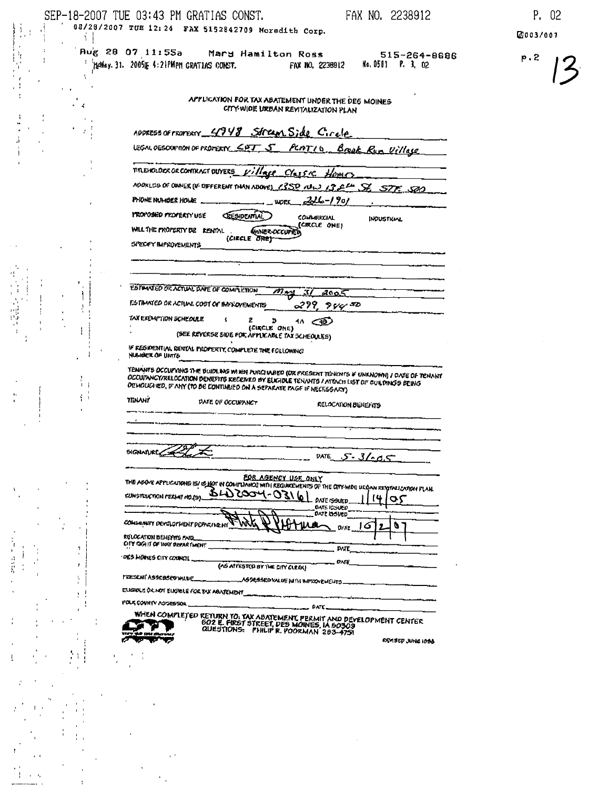|                      | SEP-18-2007 TUE 03:43 PM GRATIAS CONST.<br>FAX NO. 2238912<br>03/28/2007 TUE 12:24 FAX 5152842709 Moredith Corp.                                                                                                                                                                                                                            | P. 02           |
|----------------------|---------------------------------------------------------------------------------------------------------------------------------------------------------------------------------------------------------------------------------------------------------------------------------------------------------------------------------------------|-----------------|
|                      | Aug 28 07 11:55a<br>Mary Hamilton Ross<br>$515 - 264 - 9696$<br>" "HEMay. 31. 2005IE 4:21PMPM GRATIAS CONST.<br>No. 0581 P. 3, 02<br>FAX NO. 2238912                                                                                                                                                                                        | 2003/007<br>P.2 |
| Æ,                   | APPLIGATION FOR TAX ABATEMENT UNDER THE DEG MOINES<br>CITY WIDE URBAN REVITAUZATION PLAN                                                                                                                                                                                                                                                    |                 |
|                      | ADDRESS OF FROFERTY 4748 Stream Side Circle                                                                                                                                                                                                                                                                                                 |                 |
|                      | LEGAL OESCRIPTION OF PROPERTY COT 5 PLATIO Boak Run Village                                                                                                                                                                                                                                                                                 |                 |
|                      | MELICLOCK OF CONTRACT DUYERS Village CY 54 RM                                                                                                                                                                                                                                                                                               |                 |
|                      | ADDRLUS OF OWNER (IF DIFFERENT THAN ABOVE) (SSO NU) (SELM STE SOO                                                                                                                                                                                                                                                                           |                 |
|                      | $226 - 190$<br>PHONE NUMBER HOME<br><b>WORK</b>                                                                                                                                                                                                                                                                                             |                 |
|                      | <b>MROMOSHED PROPERTY USE</b><br><b>GESIDENTIAL</b><br>COLAMIKCIAL<br>INDUSTRIAL<br>(CIRCLE ONE)<br>WILL THE PROPERTY EVE RENTAL.<br><b>GANER-OCCUPIED</b><br>(CIECLE BREY-                                                                                                                                                                 |                 |
|                      | SPECIFY IMPROVEMENTS                                                                                                                                                                                                                                                                                                                        |                 |
|                      |                                                                                                                                                                                                                                                                                                                                             |                 |
|                      | ESYMANIED OF ACTUAL DATE OF COMPLETION<br>يسداحم<br>37<br>7005                                                                                                                                                                                                                                                                              |                 |
|                      | <b>FISTIMATED OR ACTUAL COST OF IMPROVEMENTS</b><br>299.9472                                                                                                                                                                                                                                                                                |                 |
|                      | TAX EXEMPTION SCHEDULE<br>2<br>э<br>$40 \leq 40$<br>(CIKCLE ONE)<br>(SEE REVERSE SIDE POR APPLICABLE TAX SCHEOULES)                                                                                                                                                                                                                         |                 |
|                      | IF RESIDENTIAL RENTAL PROPERTY, COMPLETE THE FOLLOWING<br>NUMBER OF UNITS                                                                                                                                                                                                                                                                   |                 |
| $\blacksquare$<br>ÝΤ | TENANTS OCCUPYING THE BUIDLING WIREN PURCHABIO (OR PRESENT TENENTS IF UNKNOWN) / DATE OF TENANT<br>OCCUITANCY/RELOCATION DENEFITS RECEIVED BY ELIGIDLE TENANTS / ATTACH LIST DF CULDINGS BEING<br>DEMOUSINED, IF ANY (TO BE CONTINUED ON A SEPARATE PAGE IF NECESSARY)<br><b>TIENANY</b><br>DATE OF OCCURANCY<br><b>RELOCATION BENEFITS</b> |                 |
|                      | <b>SIGNATURE</b><br>∽.<br><b>DATE</b><br>$5 - 3/205$                                                                                                                                                                                                                                                                                        |                 |
|                      | EOR AGENCY USE ONLY<br>THE ABOVE APPLICATIONS IS/ OS NOT IN COMPLIANO? WITH REQUIREMENTS OF THE CITY-WIDE UKONN RESTAULATION FLAN.<br>$3422004-03161$<br><b>CUMETEUCTION CERMIT NO.(B).</b><br>$\alpha$<br>DATE ISSUED.<br>DATE ISSUED<br>DATE LISTED<br>COMMUNITY DEVELOPMENT PEPARINE MT<br>O                                             |                 |
|                      | RELOCATION BENEFITS FAID<br>CITY RIGHT OF HOY DEPARTMENT<br><b>PATE</b>                                                                                                                                                                                                                                                                     |                 |
|                      | DES MOINES CITY COUNCIL<br>DATE<br>(AS ATTESTOO BY THE CITY CLEAK)                                                                                                                                                                                                                                                                          |                 |
|                      | MESENT ASSERSED WILLE_                                                                                                                                                                                                                                                                                                                      |                 |
|                      | ELIGIOLE OX NOT ELIGIBLE FOR TAX ABATEMENT<br><b>POLK COUNTY ASSESSOR.</b><br>$2222$ PATE                                                                                                                                                                                                                                                   |                 |
|                      | WHEN COMPLETED RETURN TO: TAX ABATEMENT, PERMIT AND DEVELOPMENT CENTER<br>DETERT OF STREET STREET DES MOINES, IA 50303<br>QUESTIONS: PHILIP R. POORMAN 203-4751<br>remuep June Id <del>a</del> a                                                                                                                                            |                 |
|                      |                                                                                                                                                                                                                                                                                                                                             |                 |
|                      |                                                                                                                                                                                                                                                                                                                                             |                 |
|                      |                                                                                                                                                                                                                                                                                                                                             |                 |
|                      |                                                                                                                                                                                                                                                                                                                                             |                 |
|                      |                                                                                                                                                                                                                                                                                                                                             |                 |
|                      |                                                                                                                                                                                                                                                                                                                                             |                 |
|                      |                                                                                                                                                                                                                                                                                                                                             |                 |
|                      |                                                                                                                                                                                                                                                                                                                                             |                 |